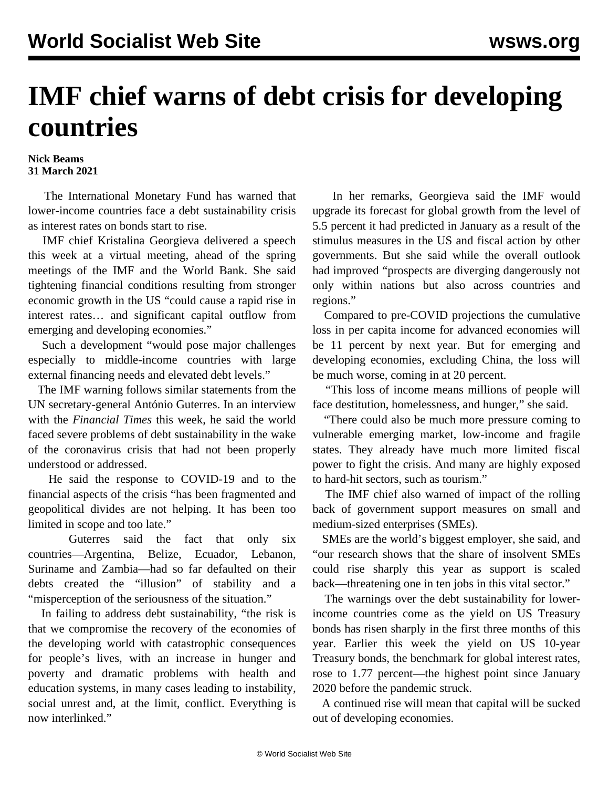## **IMF chief warns of debt crisis for developing countries**

## **Nick Beams 31 March 2021**

 The International Monetary Fund has warned that lower-income countries face a debt sustainability crisis as interest rates on bonds start to rise.

 IMF chief Kristalina Georgieva delivered a speech this week at a virtual meeting, ahead of the spring meetings of the IMF and the World Bank. She said tightening financial conditions resulting from stronger economic growth in the US "could cause a rapid rise in interest rates… and significant capital outflow from emerging and developing economies."

 Such a development "would pose major challenges especially to middle-income countries with large external financing needs and elevated debt levels."

 The IMF warning follows similar statements from the UN secretary-general António Guterres. In an interview with the *Financial Times* this week, he said the world faced severe problems of debt sustainability in the wake of the coronavirus crisis that had not been properly understood or addressed.

 He said the response to COVID-19 and to the financial aspects of the crisis "has been fragmented and geopolitical divides are not helping. It has been too limited in scope and too late."

 Guterres said the fact that only six countries—Argentina, Belize, Ecuador, Lebanon, Suriname and Zambia—had so far defaulted on their debts created the "illusion" of stability and a "misperception of the seriousness of the situation."

 In failing to address debt sustainability, "the risk is that we compromise the recovery of the economies of the developing world with catastrophic consequences for people's lives, with an increase in hunger and poverty and dramatic problems with health and education systems, in many cases leading to instability, social unrest and, at the limit, conflict. Everything is now interlinked."

 In her remarks, Georgieva said the IMF would upgrade its forecast for global growth from the level of 5.5 percent it had predicted in January as a result of the stimulus measures in the US and fiscal action by other governments. But she said while the overall outlook had improved "prospects are diverging dangerously not only within nations but also across countries and regions."

 Compared to pre-COVID projections the cumulative loss in per capita income for advanced economies will be 11 percent by next year. But for emerging and developing economies, excluding China, the loss will be much worse, coming in at 20 percent.

 "This loss of income means millions of people will face destitution, homelessness, and hunger," she said.

 "There could also be much more pressure coming to vulnerable emerging market, low-income and fragile states. They already have much more limited fiscal power to fight the crisis. And many are highly exposed to hard-hit sectors, such as tourism."

 The IMF chief also warned of impact of the rolling back of government support measures on small and medium-sized enterprises (SMEs).

 SMEs are the world's biggest employer, she said, and "our research shows that the share of insolvent SMEs could rise sharply this year as support is scaled back—threatening one in ten jobs in this vital sector."

 The warnings over the debt sustainability for lowerincome countries come as the yield on US Treasury bonds has risen sharply in the first three months of this year. Earlier this week the yield on US 10-year Treasury bonds, the benchmark for global interest rates, rose to 1.77 percent—the highest point since January 2020 before the pandemic struck.

 A continued rise will mean that capital will be sucked out of developing economies.